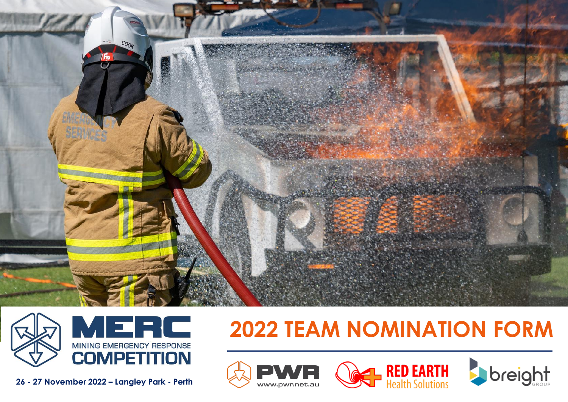



**26 - 27 November 2022 – Langley Park - Perth**

# **2022 TEAM NOMINATION FORM**

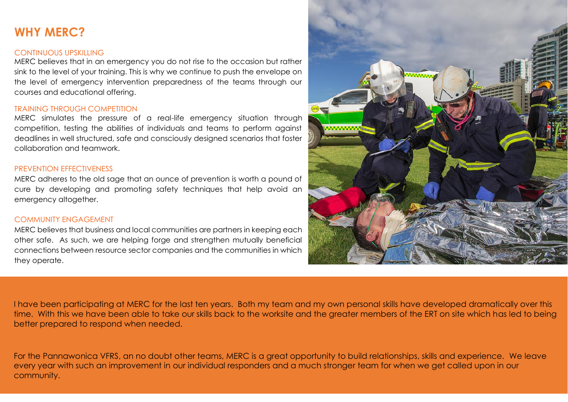# **WHY MERC?**

#### CONTINUOUS UPSKILLING

MERC believes that in an emergency you do not rise to the occasion but rather sink to the level of your training. This is why we continue to push the envelope on the level of emergency intervention preparedness of the teams through our courses and educational offering.

#### TRAINING THROUGH COMPETITION

MERC simulates the pressure of a real-life emergency situation through competition, testing the abilities of individuals and teams to perform against deadlines in well structured, safe and consciously designed scenarios that foster collaboration and teamwork.

### PREVENTION EFFECTIVENESS

MERC adheres to the old sage that an ounce of prevention is worth a pound of cure by developing and promoting safety techniques that help avoid an emergency altogether.

### COMMUNITY ENGAGEMENT

MERC believes that business and local communities are partners in keeping each other safe. As such, we are helping forge and strengthen mutually beneficial connections between resource sector companies and the communities in which they operate.



I have been participating at MERC for the last ten years. Both my team and my own personal skills have developed dramatically over this time. With this we have been able to take our skills back to the worksite and the greater members of the ERT on site which has led to being better prepared to respond when needed.

For the Pannawonica VFRS, an no doubt other teams, MERC is a great opportunity to build relationships, skills and experience. We leave every year with such an improvement in our individual responders and a much stronger team for when we get called upon in our community.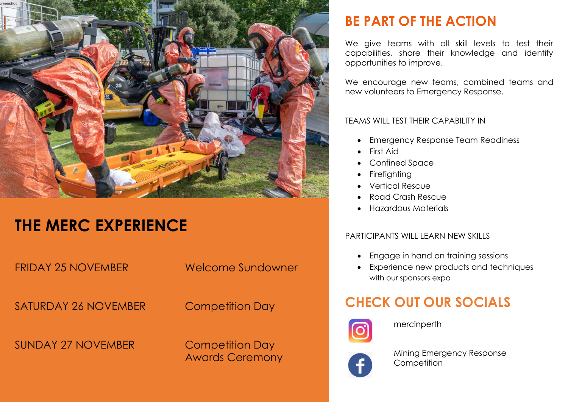

# **THE MERC EXPERIENCE**

FRIDAY 25 NOVEMBER Welcome Sundowner

SATURDAY 26 NOVEMBER Competition Day

SUNDAY 27 NOVEMBER Competition Day

Awards Ceremony

# **BE PART OF THE ACTION**

We give teams with all skill levels to test their capabilities, share their knowledge and identify opportunities to improve.

We encourage new teams, combined teams and new volunteers to Emergency Response.

## TEAMS WILL TEST THEIR CAPABILITY IN

- Emergency Response Team Readiness
- First Aid
- Confined Space
- Firefighting
- Vertical Rescue
- Road Crash Rescue
- Hazardous Materials

# PARTICIPANTS WILL LEARN NEW SKILLS

- Engage in hand on training sessions
- Experience new products and techniques with our sponsors expo

# **CHECK OUT OUR SOCIALS**



mercinperth



Mining Emergency Response **Competition**